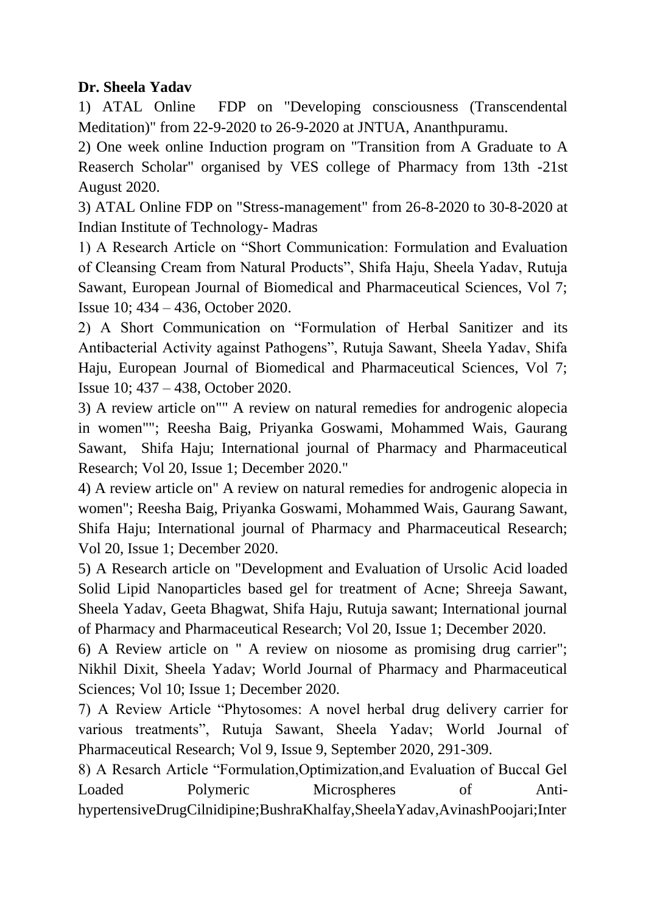#### **Dr. Sheela Yadav**

1) ATAL Online FDP on "Developing consciousness (Transcendental Meditation)" from 22-9-2020 to 26-9-2020 at JNTUA, Ananthpuramu.

2) One week online Induction program on "Transition from A Graduate to A Reaserch Scholar" organised by VES college of Pharmacy from 13th -21st August 2020.

3) ATAL Online FDP on "Stress-management" from 26-8-2020 to 30-8-2020 at Indian Institute of Technology- Madras

1) A Research Article on "Short Communication: Formulation and Evaluation of Cleansing Cream from Natural Products", Shifa Haju, Sheela Yadav, Rutuja Sawant, European Journal of Biomedical and Pharmaceutical Sciences, Vol 7; Issue 10; 434 – 436, October 2020.

2) A Short Communication on "Formulation of Herbal Sanitizer and its Antibacterial Activity against Pathogens", Rutuja Sawant, Sheela Yadav, Shifa Haju, European Journal of Biomedical and Pharmaceutical Sciences, Vol 7; Issue 10; 437 – 438, October 2020.

3) A review article on"" A review on natural remedies for androgenic alopecia in women""; Reesha Baig, Priyanka Goswami, Mohammed Wais, Gaurang Sawant, Shifa Haju; International journal of Pharmacy and Pharmaceutical Research; Vol 20, Issue 1; December 2020."

4) A review article on" A review on natural remedies for androgenic alopecia in women"; Reesha Baig, Priyanka Goswami, Mohammed Wais, Gaurang Sawant, Shifa Haju; International journal of Pharmacy and Pharmaceutical Research; Vol 20, Issue 1; December 2020.

5) A Research article on "Development and Evaluation of Ursolic Acid loaded Solid Lipid Nanoparticles based gel for treatment of Acne; Shreeja Sawant, Sheela Yadav, Geeta Bhagwat, Shifa Haju, Rutuja sawant; International journal of Pharmacy and Pharmaceutical Research; Vol 20, Issue 1; December 2020.

6) A Review article on " A review on niosome as promising drug carrier"; Nikhil Dixit, Sheela Yadav; World Journal of Pharmacy and Pharmaceutical Sciences; Vol 10; Issue 1; December 2020.

7) A Review Article "Phytosomes: A novel herbal drug delivery carrier for various treatments", Rutuja Sawant, Sheela Yadav; World Journal of Pharmaceutical Research; Vol 9, Issue 9, September 2020, 291-309.

8) A Resarch Article "Formulation,Optimization,and Evaluation of Buccal Gel Loaded Polymeric Microspheres of AntihypertensiveDrugCilnidipine;BushraKhalfay,SheelaYadav,AvinashPoojari;Inter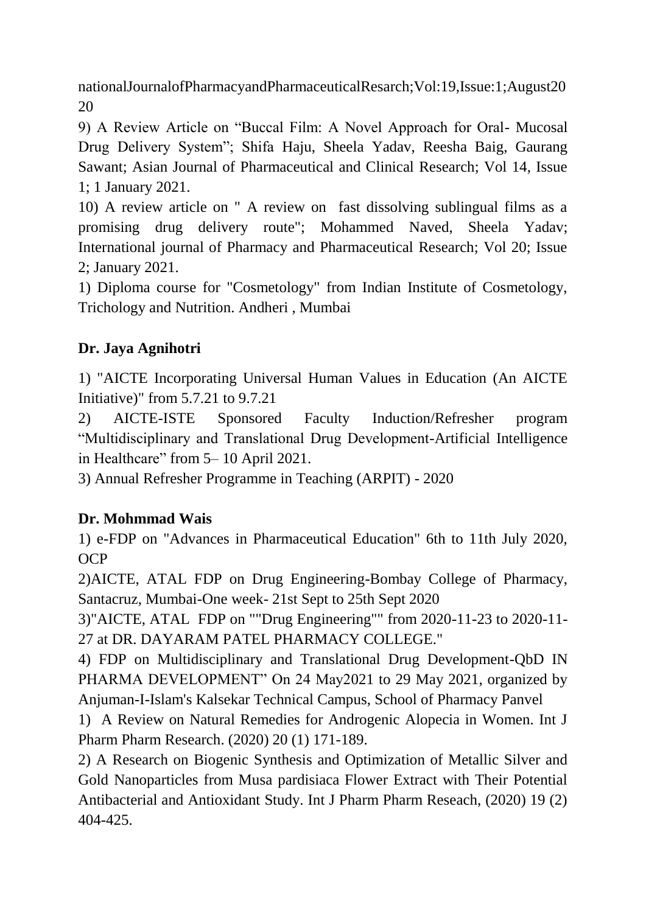nationalJournalofPharmacyandPharmaceuticalResarch;Vol:19,Issue:1;August20 20

9) A Review Article on "Buccal Film: A Novel Approach for Oral- Mucosal Drug Delivery System"; Shifa Haju, Sheela Yadav, Reesha Baig, Gaurang Sawant; Asian Journal of Pharmaceutical and Clinical Research; Vol 14, Issue 1; 1 January 2021.

10) A review article on " A review on fast dissolving sublingual films as a promising drug delivery route"; Mohammed Naved, Sheela Yadav; International journal of Pharmacy and Pharmaceutical Research; Vol 20; Issue 2; January 2021.

1) Diploma course for "Cosmetology" from Indian Institute of Cosmetology, Trichology and Nutrition. Andheri , Mumbai

# **Dr. Jaya Agnihotri**

1) "AICTE Incorporating Universal Human Values in Education (An AICTE Initiative)" from 5.7.21 to 9.7.21

2) AICTE-ISTE Sponsored Faculty Induction/Refresher program "Multidisciplinary and Translational Drug Development-Artificial Intelligence in Healthcare" from 5– 10 April 2021.

3) Annual Refresher Programme in Teaching (ARPIT) - 2020

## **Dr. Mohmmad Wais**

1) e-FDP on "Advances in Pharmaceutical Education" 6th to 11th July 2020, OCP

2)AICTE, ATAL FDP on Drug Engineering-Bombay College of Pharmacy, Santacruz, Mumbai-One week- 21st Sept to 25th Sept 2020

3)"AICTE, ATAL FDP on ""Drug Engineering"" from 2020-11-23 to 2020-11- 27 at DR. DAYARAM PATEL PHARMACY COLLEGE."

4) FDP on Multidisciplinary and Translational Drug Development-QbD IN PHARMA DEVELOPMENT" On 24 May2021 to 29 May 2021, organized by Anjuman-I-Islam's Kalsekar Technical Campus, School of Pharmacy Panvel

1) A Review on Natural Remedies for Androgenic Alopecia in Women. Int J Pharm Pharm Research. (2020) 20 (1) 171-189.

2) A Research on Biogenic Synthesis and Optimization of Metallic Silver and Gold Nanoparticles from Musa pardisiaca Flower Extract with Their Potential Antibacterial and Antioxidant Study. Int J Pharm Pharm Reseach, (2020) 19 (2) 404-425.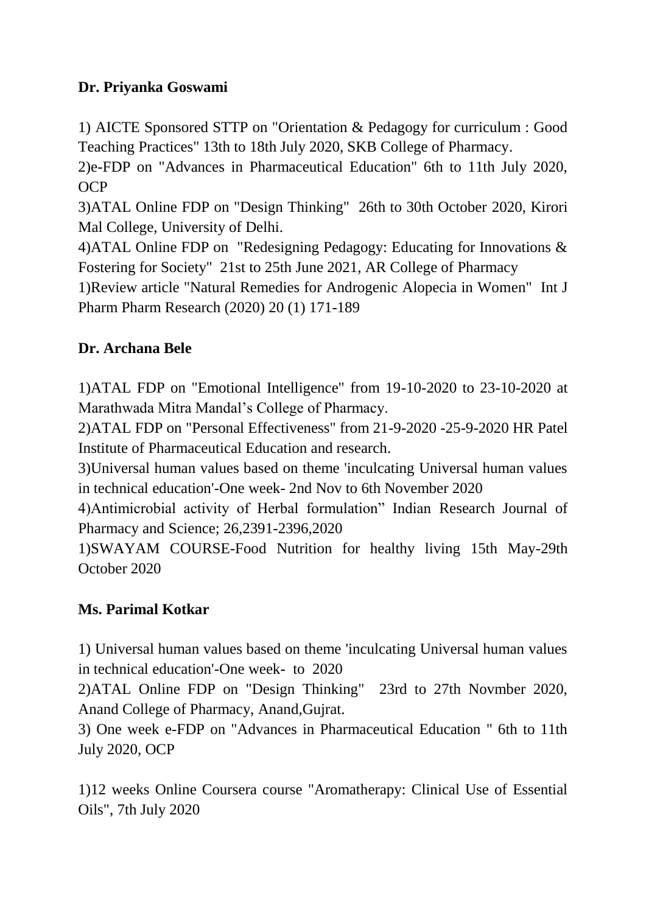## **Dr. Priyanka Goswami**

1) AICTE Sponsored STTP on "Orientation & Pedagogy for curriculum : Good Teaching Practices" 13th to 18th July 2020, SKB College of Pharmacy.

2)e-FDP on "Advances in Pharmaceutical Education" 6th to 11th July 2020, OCP

3)ATAL Online FDP on "Design Thinking" 26th to 30th October 2020, Kirori Mal College, University of Delhi.

4)ATAL Online FDP on "Redesigning Pedagogy: Educating for Innovations & Fostering for Society" 21st to 25th June 2021, AR College of Pharmacy

1)Review article "Natural Remedies for Androgenic Alopecia in Women" Int J Pharm Pharm Research (2020) 20 (1) 171-189

## **Dr. Archana Bele**

1)ATAL FDP on "Emotional Intelligence" from 19-10-2020 to 23-10-2020 at Marathwada Mitra Mandal"s College of Pharmacy.

2)ATAL FDP on "Personal Effectiveness" from 21-9-2020 -25-9-2020 HR Patel Institute of Pharmaceutical Education and research.

3)Universal human values based on theme 'inculcating Universal human values in technical education'-One week- 2nd Nov to 6th November 2020

4)Antimicrobial activity of Herbal formulation" Indian Research Journal of Pharmacy and Science; 26,2391-2396,2020

1)SWAYAM COURSE-Food Nutrition for healthy living 15th May-29th October 2020

#### **Ms. Parimal Kotkar**

1) Universal human values based on theme 'inculcating Universal human values in technical education'-One week- to 2020

2)ATAL Online FDP on "Design Thinking" 23rd to 27th Novmber 2020, Anand College of Pharmacy, Anand,Gujrat.

3) One week e-FDP on "Advances in Pharmaceutical Education " 6th to 11th July 2020, OCP

1)12 weeks Online Coursera course "Aromatherapy: Clinical Use of Essential Oils", 7th July 2020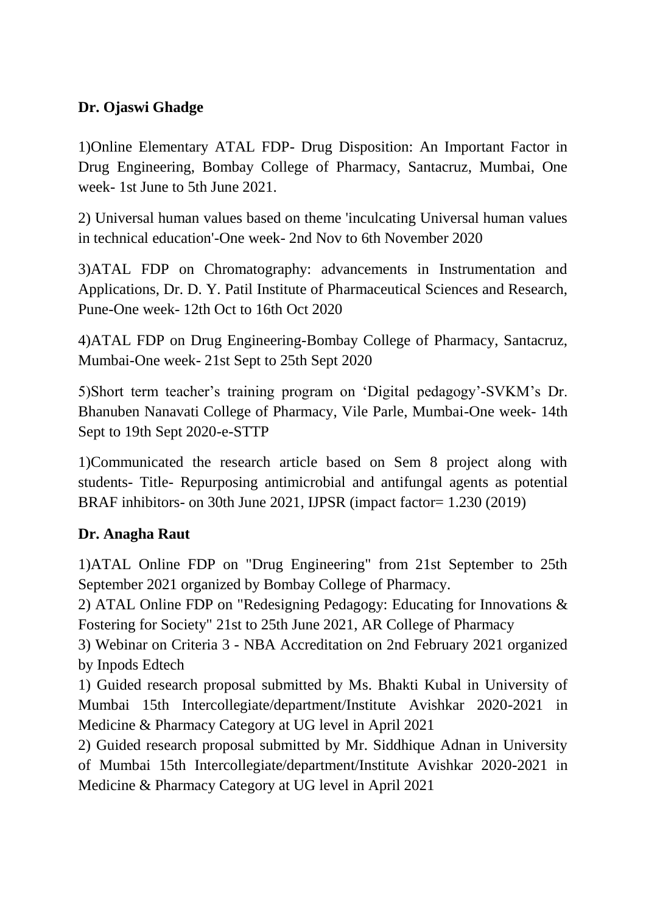## **Dr. Ojaswi Ghadge**

1)Online Elementary ATAL FDP- Drug Disposition: An Important Factor in Drug Engineering, Bombay College of Pharmacy, Santacruz, Mumbai, One week- 1st June to 5th June 2021.

2) Universal human values based on theme 'inculcating Universal human values in technical education'-One week- 2nd Nov to 6th November 2020

3)ATAL FDP on Chromatography: advancements in Instrumentation and Applications, Dr. D. Y. Patil Institute of Pharmaceutical Sciences and Research, Pune-One week- 12th Oct to 16th Oct 2020

4)ATAL FDP on Drug Engineering-Bombay College of Pharmacy, Santacruz, Mumbai-One week- 21st Sept to 25th Sept 2020

5)Short term teacher"s training program on "Digital pedagogy"-SVKM"s Dr. Bhanuben Nanavati College of Pharmacy, Vile Parle, Mumbai-One week- 14th Sept to 19th Sept 2020-e-STTP

1)Communicated the research article based on Sem 8 project along with students- Title- Repurposing antimicrobial and antifungal agents as potential BRAF inhibitors- on 30th June 2021, IJPSR (impact factor= 1.230 (2019)

#### **Dr. Anagha Raut**

1)ATAL Online FDP on "Drug Engineering" from 21st September to 25th September 2021 organized by Bombay College of Pharmacy.

2) ATAL Online FDP on "Redesigning Pedagogy: Educating for Innovations & Fostering for Society" 21st to 25th June 2021, AR College of Pharmacy

3) Webinar on Criteria 3 - NBA Accreditation on 2nd February 2021 organized by Inpods Edtech

1) Guided research proposal submitted by Ms. Bhakti Kubal in University of Mumbai 15th Intercollegiate/department/Institute Avishkar 2020-2021 in Medicine & Pharmacy Category at UG level in April 2021

2) Guided research proposal submitted by Mr. Siddhique Adnan in University of Mumbai 15th Intercollegiate/department/Institute Avishkar 2020-2021 in Medicine & Pharmacy Category at UG level in April 2021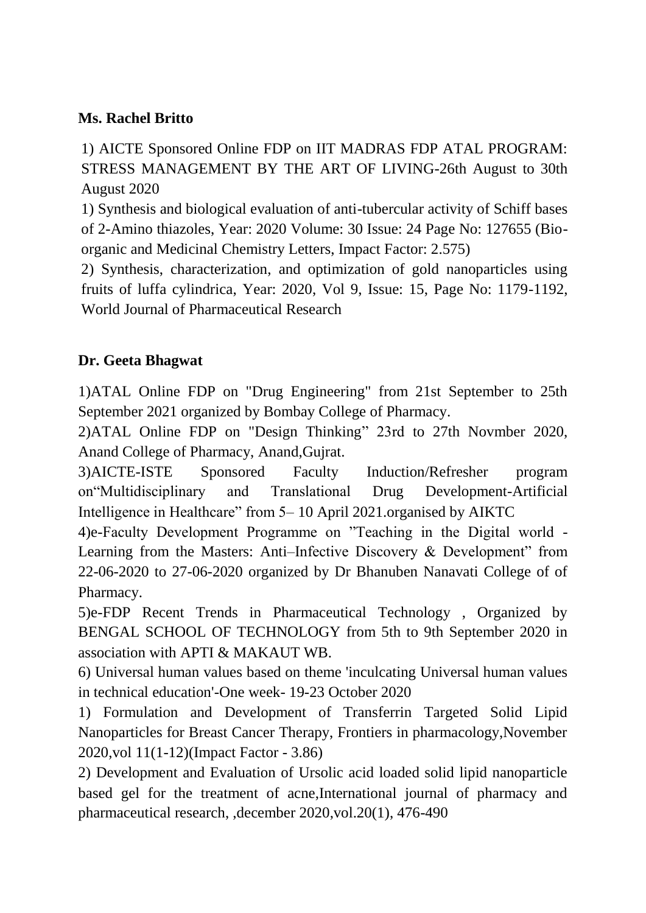#### **Ms. Rachel Britto**

1) AICTE Sponsored Online FDP on IIT MADRAS FDP ATAL PROGRAM: STRESS MANAGEMENT BY THE ART OF LIVING-26th August to 30th August 2020

1) Synthesis and biological evaluation of anti-tubercular activity of Schiff bases of 2-Amino thiazoles, Year: 2020 Volume: 30 Issue: 24 Page No: 127655 (Bioorganic and Medicinal Chemistry Letters, Impact Factor: 2.575)

2) Synthesis, characterization, and optimization of gold nanoparticles using fruits of luffa cylindrica, Year: 2020, Vol 9, Issue: 15, Page No: 1179-1192, World Journal of Pharmaceutical Research

## **Dr. Geeta Bhagwat**

1)ATAL Online FDP on "Drug Engineering" from 21st September to 25th September 2021 organized by Bombay College of Pharmacy.

2)ATAL Online FDP on "Design Thinking" 23rd to 27th Novmber 2020, Anand College of Pharmacy, Anand,Gujrat.

3)AICTE-ISTE Sponsored Faculty Induction/Refresher program on"Multidisciplinary and Translational Drug Development-Artificial Intelligence in Healthcare" from 5– 10 April 2021.organised by AIKTC

4)e-Faculty Development Programme on "Teaching in the Digital world - Learning from the Masters: Anti–Infective Discovery & Development" from 22-06-2020 to 27-06-2020 organized by Dr Bhanuben Nanavati College of of Pharmacy.

5)e-FDP Recent Trends in Pharmaceutical Technology , Organized by BENGAL SCHOOL OF TECHNOLOGY from 5th to 9th September 2020 in association with APTI & MAKAUT WB.

6) Universal human values based on theme 'inculcating Universal human values in technical education'-One week- 19-23 October 2020

1) Formulation and Development of Transferrin Targeted Solid Lipid Nanoparticles for Breast Cancer Therapy, Frontiers in pharmacology,November 2020,vol 11(1-12)(Impact Factor - 3.86)

2) Development and Evaluation of Ursolic acid loaded solid lipid nanoparticle based gel for the treatment of acne,International journal of pharmacy and pharmaceutical research, ,december 2020,vol.20(1), 476-490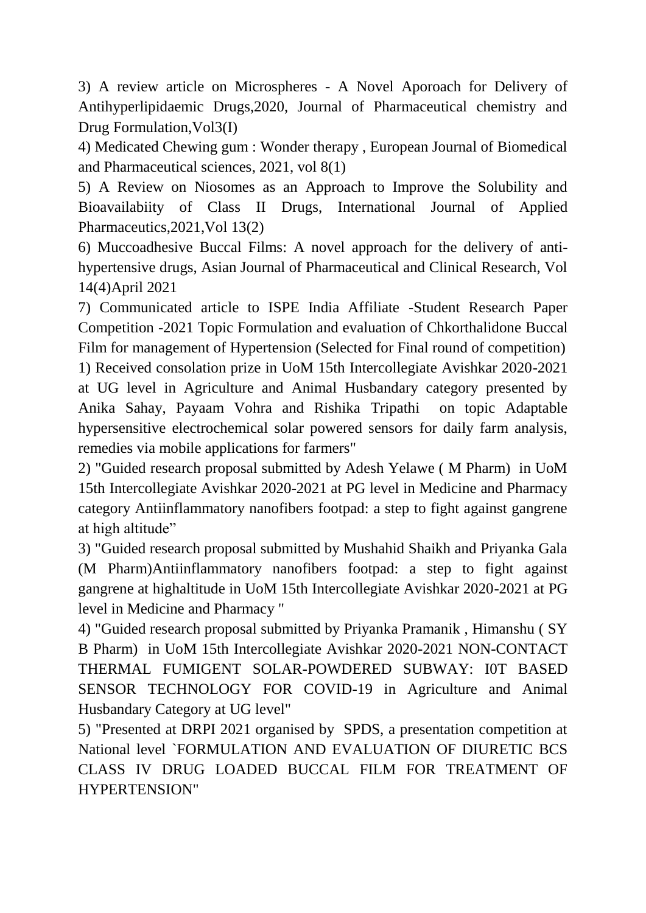3) A review article on Microspheres - A Novel Aporoach for Delivery of Antihyperlipidaemic Drugs,2020, Journal of Pharmaceutical chemistry and Drug Formulation,Vol3(I)

4) Medicated Chewing gum : Wonder therapy , European Journal of Biomedical and Pharmaceutical sciences, 2021, vol 8(1)

5) A Review on Niosomes as an Approach to Improve the Solubility and Bioavailabiity of Class II Drugs, International Journal of Applied Pharmaceutics,2021,Vol 13(2)

6) Muccoadhesive Buccal Films: A novel approach for the delivery of antihypertensive drugs, Asian Journal of Pharmaceutical and Clinical Research, Vol 14(4)April 2021

7) Communicated article to ISPE India Affiliate -Student Research Paper Competition -2021 Topic Formulation and evaluation of Chkorthalidone Buccal Film for management of Hypertension (Selected for Final round of competition) 1) Received consolation prize in UoM 15th Intercollegiate Avishkar 2020-2021 at UG level in Agriculture and Animal Husbandary category presented by Anika Sahay, Payaam Vohra and Rishika Tripathi on topic Adaptable hypersensitive electrochemical solar powered sensors for daily farm analysis, remedies via mobile applications for farmers"

2) "Guided research proposal submitted by Adesh Yelawe ( M Pharm) in UoM 15th Intercollegiate Avishkar 2020-2021 at PG level in Medicine and Pharmacy category Antiinflammatory nanofibers footpad: a step to fight against gangrene at high altitude"

3) "Guided research proposal submitted by Mushahid Shaikh and Priyanka Gala (M Pharm)Antiinflammatory nanofibers footpad: a step to fight against gangrene at highaltitude in UoM 15th Intercollegiate Avishkar 2020-2021 at PG level in Medicine and Pharmacy "

4) "Guided research proposal submitted by Priyanka Pramanik , Himanshu ( SY B Pharm) in UoM 15th Intercollegiate Avishkar 2020-2021 NON-CONTACT THERMAL FUMIGENT SOLAR-POWDERED SUBWAY: I0T BASED SENSOR TECHNOLOGY FOR COVID-19 in Agriculture and Animal Husbandary Category at UG level"

5) "Presented at DRPI 2021 organised by SPDS, a presentation competition at National level `FORMULATION AND EVALUATION OF DIURETIC BCS CLASS IV DRUG LOADED BUCCAL FILM FOR TREATMENT OF HYPERTENSION"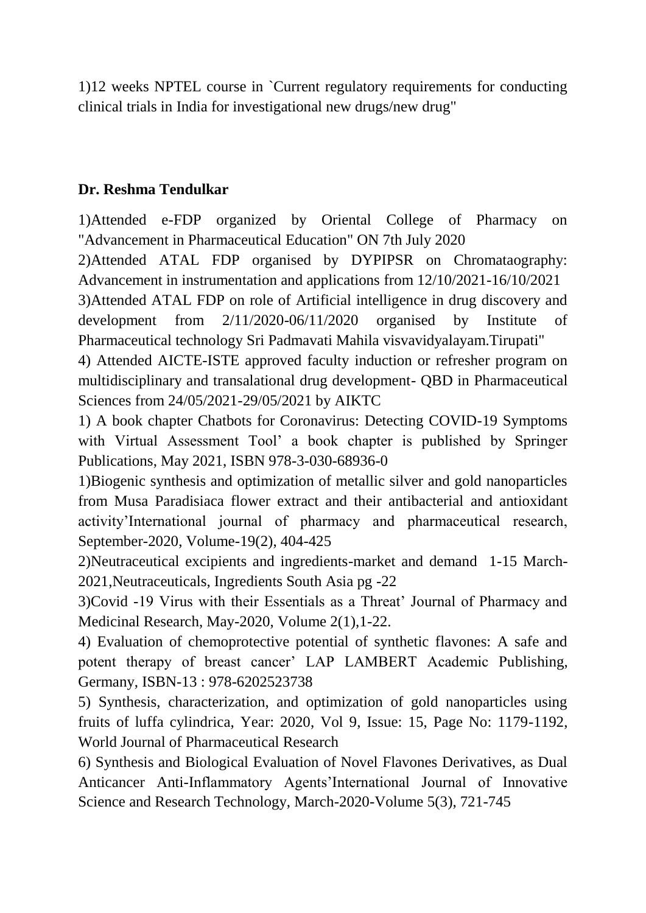1)12 weeks NPTEL course in `Current regulatory requirements for conducting clinical trials in India for investigational new drugs/new drug"

#### **Dr. Reshma Tendulkar**

1)Attended e-FDP organized by Oriental College of Pharmacy on "Advancement in Pharmaceutical Education" ON 7th July 2020

2)Attended ATAL FDP organised by DYPIPSR on Chromataography: Advancement in instrumentation and applications from 12/10/2021-16/10/2021

3)Attended ATAL FDP on role of Artificial intelligence in drug discovery and development from 2/11/2020-06/11/2020 organised by Institute of Pharmaceutical technology Sri Padmavati Mahila visvavidyalayam.Tirupati"

4) Attended AICTE-ISTE approved faculty induction or refresher program on multidisciplinary and transalational drug development- QBD in Pharmaceutical Sciences from 24/05/2021-29/05/2021 by AIKTC

1) A book chapter Chatbots for Coronavirus: Detecting COVID-19 Symptoms with Virtual Assessment Tool" a book chapter is published by Springer Publications, May 2021, ISBN 978-3-030-68936-0

1)Biogenic synthesis and optimization of metallic silver and gold nanoparticles from Musa Paradisiaca flower extract and their antibacterial and antioxidant activity"International journal of pharmacy and pharmaceutical research, September-2020, Volume-19(2), 404-425

2)Neutraceutical excipients and ingredients-market and demand 1-15 March-2021,Neutraceuticals, Ingredients South Asia pg -22

3)Covid -19 Virus with their Essentials as a Threat" Journal of Pharmacy and Medicinal Research, May-2020, Volume 2(1),1-22.

4) Evaluation of chemoprotective potential of synthetic flavones: A safe and potent therapy of breast cancer" LAP LAMBERT Academic Publishing, Germany, ISBN-13 : 978-6202523738

5) Synthesis, characterization, and optimization of gold nanoparticles using fruits of luffa cylindrica, Year: 2020, Vol 9, Issue: 15, Page No: 1179-1192, World Journal of Pharmaceutical Research

6) Synthesis and Biological Evaluation of Novel Flavones Derivatives, as Dual Anticancer Anti-Inflammatory Agents"International Journal of Innovative Science and Research Technology, March-2020-Volume 5(3), 721-745